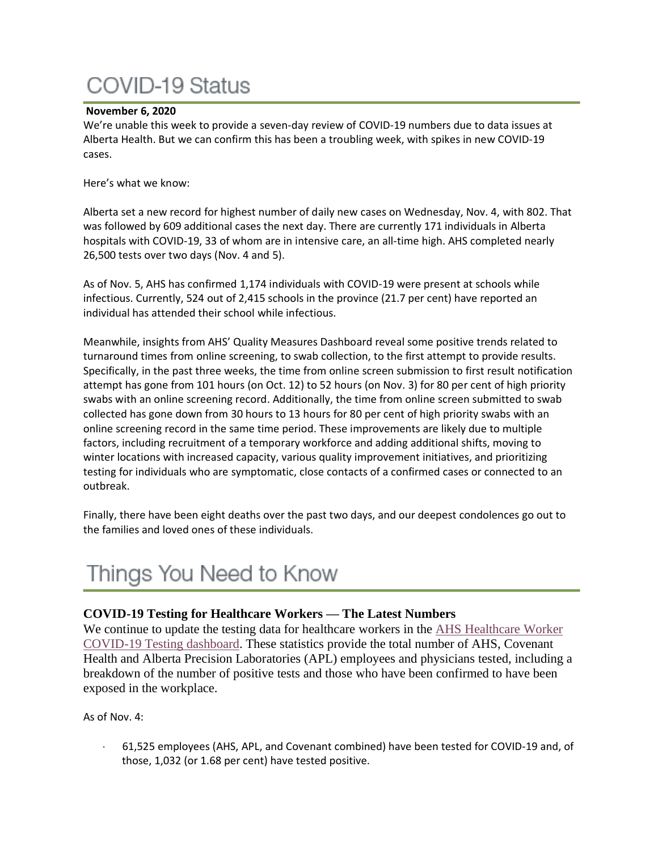# **COVID-19 Status**

## **November 6, 2020**

We're unable this week to provide a seven-day review of COVID-19 numbers due to data issues at Alberta Health. But we can confirm this has been a troubling week, with spikes in new COVID-19 cases.

Here's what we know:

Alberta set a new record for highest number of daily new cases on Wednesday, Nov. 4, with 802. That was followed by 609 additional cases the next day. There are currently 171 individuals in Alberta hospitals with COVID-19, 33 of whom are in intensive care, an all-time high. AHS completed nearly 26,500 tests over two days (Nov. 4 and 5).

As of Nov. 5, AHS has confirmed 1,174 individuals with COVID-19 were present at schools while infectious. Currently, 524 out of 2,415 schools in the province (21.7 per cent) have reported an individual has attended their school while infectious.

Meanwhile, insights from AHS' Quality Measures Dashboard reveal some positive trends related to turnaround times from online screening, to swab collection, to the first attempt to provide results. Specifically, in the past three weeks, the time from online screen submission to first result notification attempt has gone from 101 hours (on Oct. 12) to 52 hours (on Nov. 3) for 80 per cent of high priority swabs with an online screening record. Additionally, the time from online screen submitted to swab collected has gone down from 30 hours to 13 hours for 80 per cent of high priority swabs with an online screening record in the same time period. These improvements are likely due to multiple factors, including recruitment of a temporary workforce and adding additional shifts, moving to winter locations with increased capacity, various quality improvement initiatives, and prioritizing testing for individuals who are symptomatic, close contacts of a confirmed cases or connected to an outbreak.

Finally, there have been eight deaths over the past two days, and our deepest condolences go out to the families and loved ones of these individuals.

# Things You Need to Know

## **COVID-19 Testing for Healthcare Workers — The Latest Numbers**

We continue to update the testing data for healthcare workers in the AHS [Healthcare](https://tableau.albertahealthservices.ca/#/views/AHSEmployeePhysicianCOVID-19TestSurveillanceDashboard/Introduction?:iid=1) Worker [COVID-19](https://tableau.albertahealthservices.ca/#/views/AHSEmployeePhysicianCOVID-19TestSurveillanceDashboard/Introduction?:iid=1) Testing dashboard. These statistics provide the total number of AHS, Covenant Health and Alberta Precision Laboratories (APL) employees and physicians tested, including a breakdown of the number of positive tests and those who have been confirmed to have been exposed in the workplace.

As of Nov. 4:

· 61,525 employees (AHS, APL, and Covenant combined) have been tested for COVID-19 and, of those, 1,032 (or 1.68 per cent) have tested positive.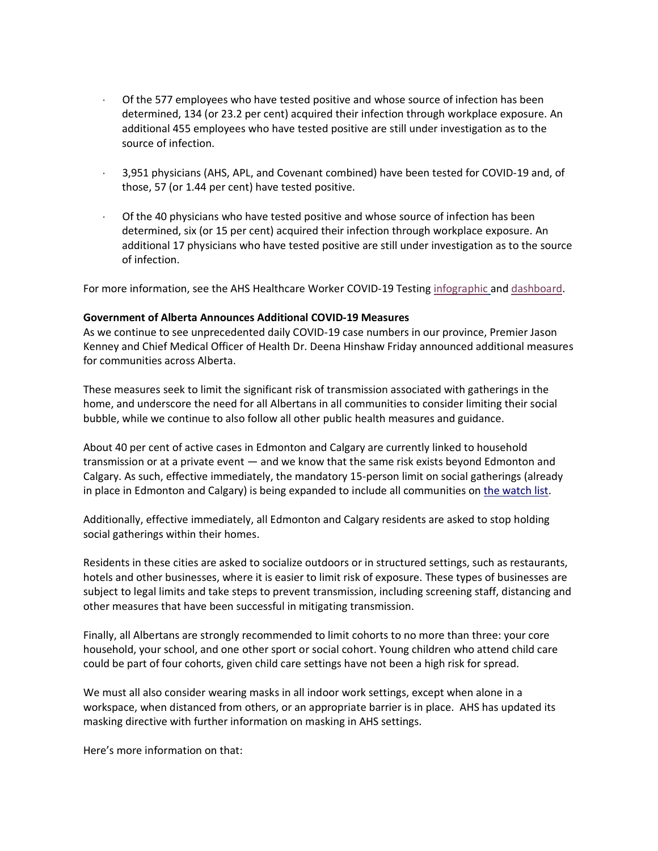- Of the 577 employees who have tested positive and whose source of infection has been determined, 134 (or 23.2 per cent) acquired their infection through workplace exposure. An additional 455 employees who have tested positive are still under investigation as to the source of infection.
- · 3,951 physicians (AHS, APL, and Covenant combined) have been tested for COVID-19 and, of those, 57 (or 1.44 per cent) have tested positive.
- Of the 40 physicians who have tested positive and whose source of infection has been determined, six (or 15 per cent) acquired their infection through workplace exposure. An additional 17 physicians who have tested positive are still under investigation as to the source of infection.

For more information, see the AHS Healthcare Worker COVID-19 Testing [infographic](https://insite.albertahealthservices.ca/main/assets/tls/ep/tls-ep-covid-19-healthcare-worker-testing-infographic.pdf) and [dashboard.](https://tableau.albertahealthservices.ca/#/views/AHSEmployeePhysicianCOVID-19TestSurveillanceDashboard/Introduction?:iid=1)

#### **Government of Alberta Announces Additional COVID-19 Measures**

As we continue to see unprecedented daily COVID-19 case numbers in our province, Premier Jason Kenney and Chief Medical Officer of Health Dr. Deena Hinshaw Friday announced additional measures for communities across Alberta.

These measures seek to limit the significant risk of transmission associated with gatherings in the home, and underscore the need for all Albertans in all communities to consider limiting their social bubble, while we continue to also follow all other public health measures and guidance.

About 40 per cent of active cases in Edmonton and Calgary are currently linked to household transmission or at a private event — and we know that the same risk exists beyond Edmonton and Calgary. As such, effective immediately, the mandatory 15-person limit on social gatherings (already in place in Edmonton and Calgary) is being expanded to include all communities on [the watch list.](https://www.alberta.ca/maps/covid-19-status-map.htm)

Additionally, effective immediately, all Edmonton and Calgary residents are asked to stop holding social gatherings within their homes.

Residents in these cities are asked to socialize outdoors or in structured settings, such as restaurants, hotels and other businesses, where it is easier to limit risk of exposure. These types of businesses are subject to legal limits and take steps to prevent transmission, including screening staff, distancing and other measures that have been successful in mitigating transmission.

Finally, all Albertans are strongly recommended to limit cohorts to no more than three: your core household, your school, and one other sport or social cohort. Young children who attend child care could be part of four cohorts, given child care settings have not been a high risk for spread.

We must all also consider wearing masks in all indoor work settings, except when alone in a workspace, when distanced from others, or an appropriate barrier is in place. AHS has updated its masking directive with further information on masking in AHS settings.

Here's more information on that: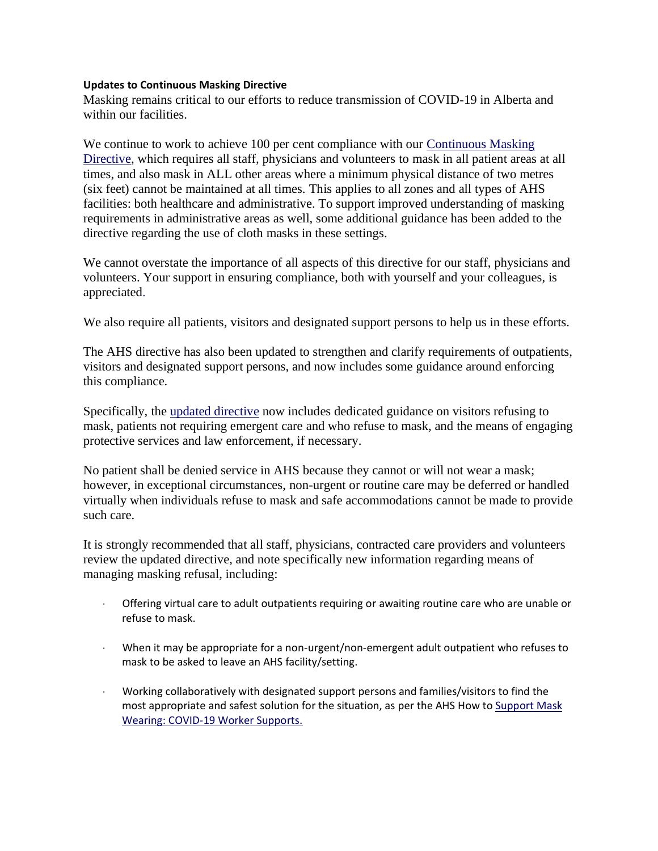### **Updates to Continuous Masking Directive**

Masking remains critical to our efforts to reduce transmission of COVID-19 in Alberta and within our facilities.

We continue to work to achieve 100 per cent compliance with our Continuous Masking [Directive,](https://extranet.ahsnet.ca/teams/policydocuments/1/clp-ahs-use-of-masks-hcs-267.pdf) which requires all staff, physicians and volunteers to mask in all patient areas at all times, and also mask in ALL other areas where a minimum physical distance of two metres (six feet) cannot be maintained at all times. This applies to all zones and all types of AHS facilities: both healthcare and administrative. To support improved understanding of masking requirements in administrative areas as well, some additional guidance has been added to the directive regarding the use of cloth masks in these settings.

We cannot overstate the importance of all aspects of this directive for our staff, physicians and volunteers. Your support in ensuring compliance, both with yourself and your colleagues, is appreciated.

We also require all patients, visitors and designated support persons to help us in these efforts.

The AHS directive has also been updated to strengthen and clarify requirements of outpatients, visitors and designated support persons, and now includes some guidance around enforcing this compliance.

Specifically, the [updated directive](https://extranet.ahsnet.ca/teams/policydocuments/1/clp-ahs-use-of-masks-hcs-267.pdf) now includes dedicated guidance on visitors refusing to mask, patients not requiring emergent care and who refuse to mask, and the means of engaging protective services and law enforcement, if necessary.

No patient shall be denied service in AHS because they cannot or will not wear a mask; however, in exceptional circumstances, non-urgent or routine care may be deferred or handled virtually when individuals refuse to mask and safe accommodations cannot be made to provide such care.

It is strongly recommended that all staff, physicians, contracted care providers and volunteers review the updated directive, and note specifically new information regarding means of managing masking refusal, including:

- · Offering virtual care to adult outpatients requiring or awaiting routine care who are unable or refuse to mask.
- · When it may be appropriate for a non-urgent/non-emergent adult outpatient who refuses to mask to be asked to leave an AHS facility/setting.
- · Working collaboratively with designated support persons and families/visitors to find the most appropriate and safest solution for the situation, as per the AHS How to [Support Mask](https://www.albertahealthservices.ca/assets/info/ppih/if-ppih-covid-19-how-to-support-mask-wearing.pdf)  [Wearing: COVID-19 Worker Supports.](https://www.albertahealthservices.ca/assets/info/ppih/if-ppih-covid-19-how-to-support-mask-wearing.pdf)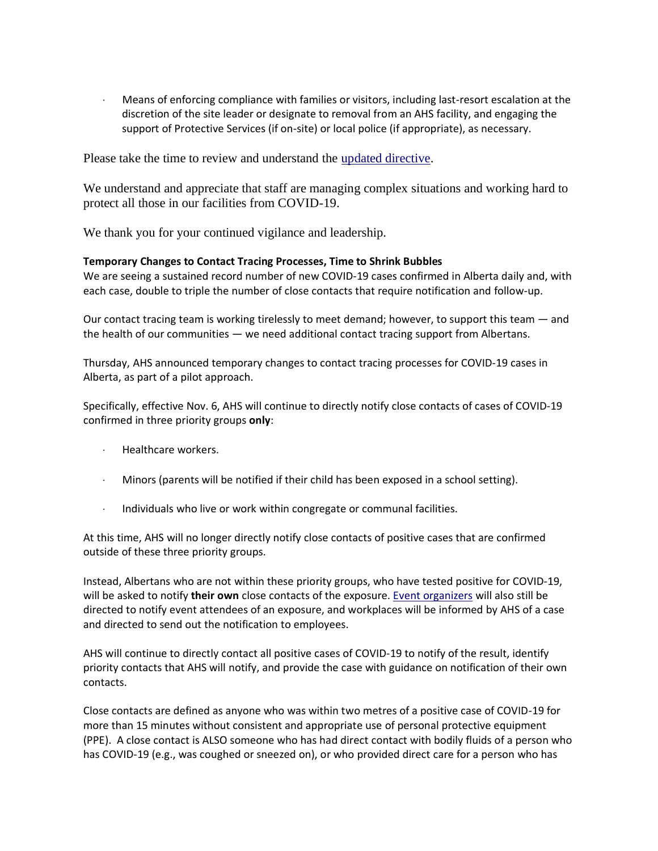Means of enforcing compliance with families or visitors, including last-resort escalation at the discretion of the site leader or designate to removal from an AHS facility, and engaging the support of Protective Services (if on-site) or local police (if appropriate), as necessary.

Please take the time to review and understand the [updated directive.](https://extranet.ahsnet.ca/teams/policydocuments/1/clp-ahs-use-of-masks-hcs-267.pdf)

We understand and appreciate that staff are managing complex situations and working hard to protect all those in our facilities from COVID-19.

We thank you for your continued vigilance and leadership.

### **Temporary Changes to Contact Tracing Processes, Time to Shrink Bubbles**

We are seeing a sustained record number of new COVID-19 cases confirmed in Alberta daily and, with each case, double to triple the number of close contacts that require notification and follow-up.

Our contact tracing team is working tirelessly to meet demand; however, to support this team — and the health of our communities — we need additional contact tracing support from Albertans.

Thursday, AHS announced temporary changes to contact tracing processes for COVID-19 cases in Alberta, as part of a pilot approach.

Specifically, effective Nov. 6, AHS will continue to directly notify close contacts of cases of COVID-19 confirmed in three priority groups **only**:

- · Healthcare workers.
- · Minors (parents will be notified if their child has been exposed in a school setting).
- · Individuals who live or work within congregate or communal facilities.

At this time, AHS will no longer directly notify close contacts of positive cases that are confirmed outside of these three priority groups.

Instead, Albertans who are not within these priority groups, who have tested positive for COVID-19, will be asked to notify **their own** close contacts of the exposure. Event [organizers](http://www.ahs.ca/events) will also still be directed to notify event attendees of an exposure, and workplaces will be informed by AHS of a case and directed to send out the notification to employees.

AHS will continue to directly contact all positive cases of COVID-19 to notify of the result, identify priority contacts that AHS will notify, and provide the case with guidance on notification of their own contacts.

Close contacts are defined as anyone who was within two metres of a positive case of COVID-19 for more than 15 minutes without consistent and appropriate use of personal protective equipment (PPE). A close contact is ALSO someone who has had direct contact with bodily fluids of a person who has COVID-19 (e.g., was coughed or sneezed on), or who provided direct care for a person who has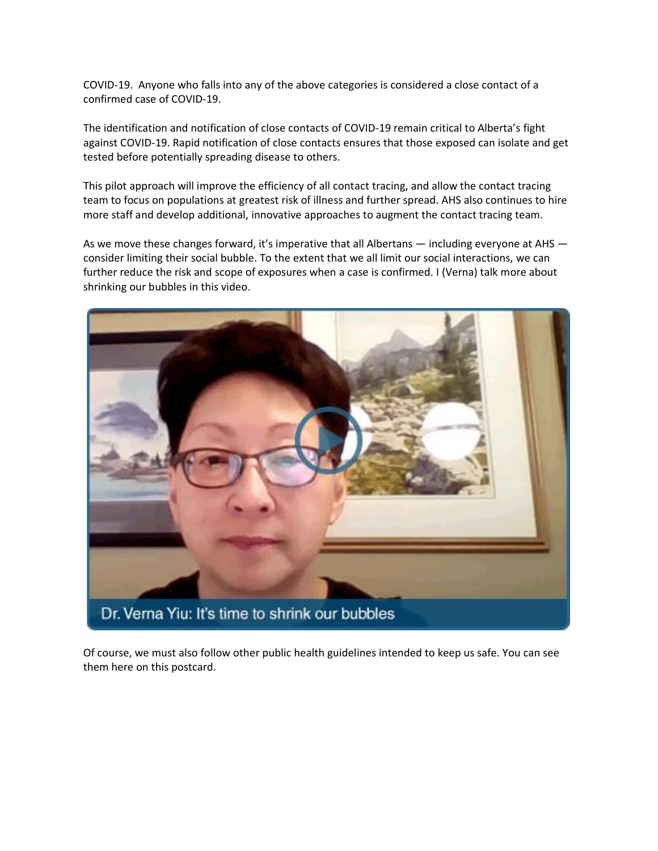COVID-19. Anyone who falls into any of the above categories is considered a close contact of a confirmed case of COVID-19.

The identification and notification of close contacts of COVID-19 remain critical to Alberta's fight against COVID-19. Rapid notification of close contacts ensures that those exposed can isolate and get tested before potentially spreading disease to others.

This pilot approach will improve the efficiency of all contact tracing, and allow the contact tracing team to focus on populations at greatest risk of illness and further spread. AHS also continues to hire more staff and develop additional, innovative approaches to augment the contact tracing team.

As we move these changes forward, it's imperative that all Albertans — including everyone at AHS consider limiting their social bubble. To the extent that we all limit our social interactions, we can further reduce the risk and scope of exposures when a case is confirmed. I (Verna) talk more about shrinking our bubbles in this video.



Of course, we must also follow other public health guidelines intended to keep us safe. You can see them here on this postcard.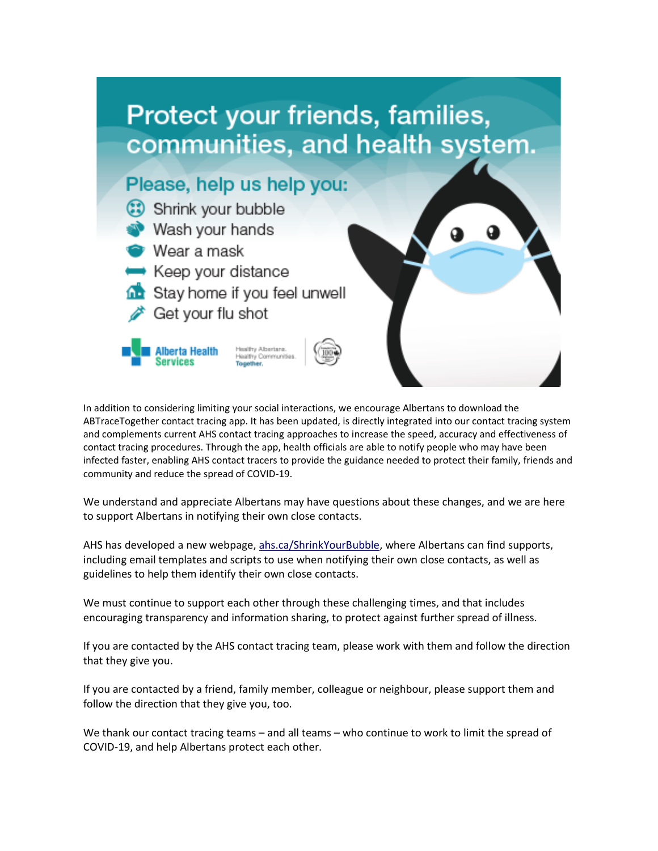

In addition to considering limiting your social interactions, we encourage Albertans to download the ABTraceTogether contact tracing app. It has been updated, is directly integrated into our contact tracing system and complements current AHS contact tracing approaches to increase the speed, accuracy and effectiveness of contact tracing procedures. Through the app, health officials are able to notify people who may have been infected faster, enabling AHS contact tracers to provide the guidance needed to protect their family, friends and community and reduce the spread of COVID-19.

We understand and appreciate Albertans may have questions about these changes, and we are here to support Albertans in notifying their own close contacts.

AHS has developed a new webpage, [ahs.ca/ShrinkYourBubble,](http://www.ahs.ca/ShrinkYourBubble) where Albertans can find supports, including email templates and scripts to use when notifying their own close contacts, as well as guidelines to help them identify their own close contacts.

We must continue to support each other through these challenging times, and that includes encouraging transparency and information sharing, to protect against further spread of illness.

If you are contacted by the AHS contact tracing team, please work with them and follow the direction that they give you.

If you are contacted by a friend, family member, colleague or neighbour, please support them and follow the direction that they give you, too.

We thank our contact tracing teams – and all teams – who continue to work to limit the spread of COVID-19, and help Albertans protect each other.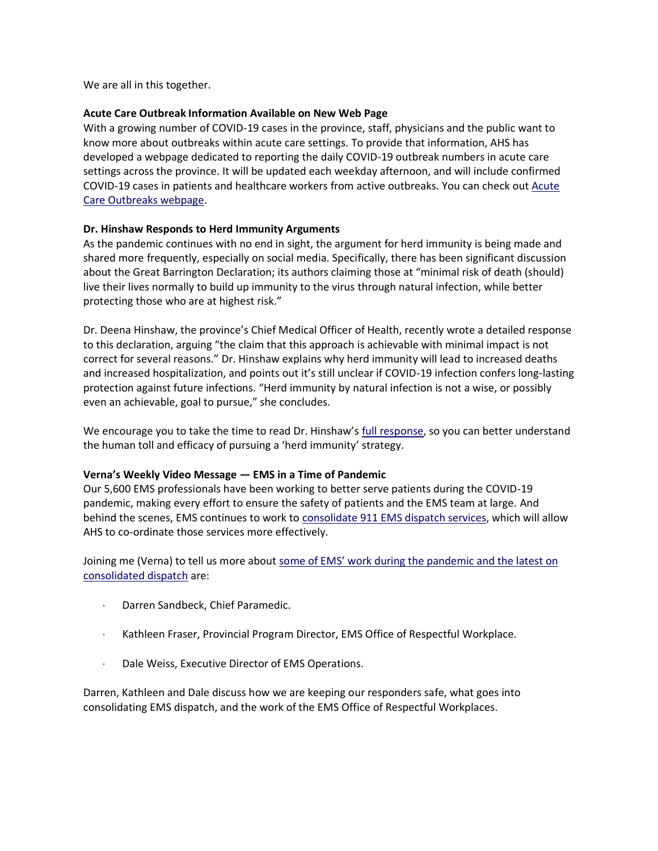We are all in this together.

### **Acute Care Outbreak Information Available on New Web Page**

With a growing number of COVID-19 cases in the province, staff, physicians and the public want to know more about outbreaks within acute care settings. To provide that information, AHS has developed a webpage dedicated to reporting the daily COVID-19 outbreak numbers in acute care settings across the province. It will be updated each weekday afternoon, and will include confirmed COVID-19 cases in patients and healthcare workers from active outbreaks. You can check out [Acute](http://ahs.ca/AcuteCareOutbreaks)  [Care Outbreaks webpage.](http://ahs.ca/AcuteCareOutbreaks)

### **Dr. Hinshaw Responds to Herd Immunity Arguments**

As the pandemic continues with no end in sight, the argument for herd immunity is being made and shared more frequently, especially on social media. Specifically, there has been significant discussion about the Great Barrington Declaration; its authors claiming those at "minimal risk of death (should) live their lives normally to build up immunity to the virus through natural infection, while better protecting those who are at highest risk."

Dr. Deena Hinshaw, the province's Chief Medical Officer of Health, recently wrote a detailed response to this declaration, arguing "the claim that this approach is achievable with minimal impact is not correct for several reasons." Dr. Hinshaw explains why herd immunity will lead to increased deaths and increased hospitalization, and points out it's still unclear if COVID-19 infection confers long-lasting protection against future infections. "Herd immunity by natural infection is not a wise, or possibly even an achievable, goal to pursue," she concludes.

We encourage you to take the time to read Dr. Hinshaw's [full response,](https://www.alberta.ca/herd-immunity-and-the-great-barrington-declaration.aspx) so you can better understand the human toll and efficacy of pursuing a 'herd immunity' strategy.

## **Verna's Weekly Video Message — EMS in a Time of Pandemic**

Our 5,600 EMS professionals have been working to better serve patients during the COVID-19 pandemic, making every effort to ensure the safety of patients and the EMS team at large. And behind the scenes, EMS continues to work to [consolidate 911 EMS dispatch services,](https://www.albertahealthservices.ca/ems/page17233.aspx) which will allow AHS to co-ordinate those services more effectively.

Joining me (Verna) to tell us more about some of EMS' work during the pandemic and the latest on [consolidated dispatch](https://www.albertahealthservices.ca/blogs/ceo/297.aspx#.X6Xi9WhKiUk) are:

- Darren Sandbeck, Chief Paramedic.
- · Kathleen Fraser, Provincial Program Director, EMS Office of Respectful Workplace.
- · Dale Weiss, Executive Director of EMS Operations.

Darren, Kathleen and Dale discuss how we are keeping our responders safe, what goes into consolidating EMS dispatch, and the work of the EMS Office of Respectful Workplaces.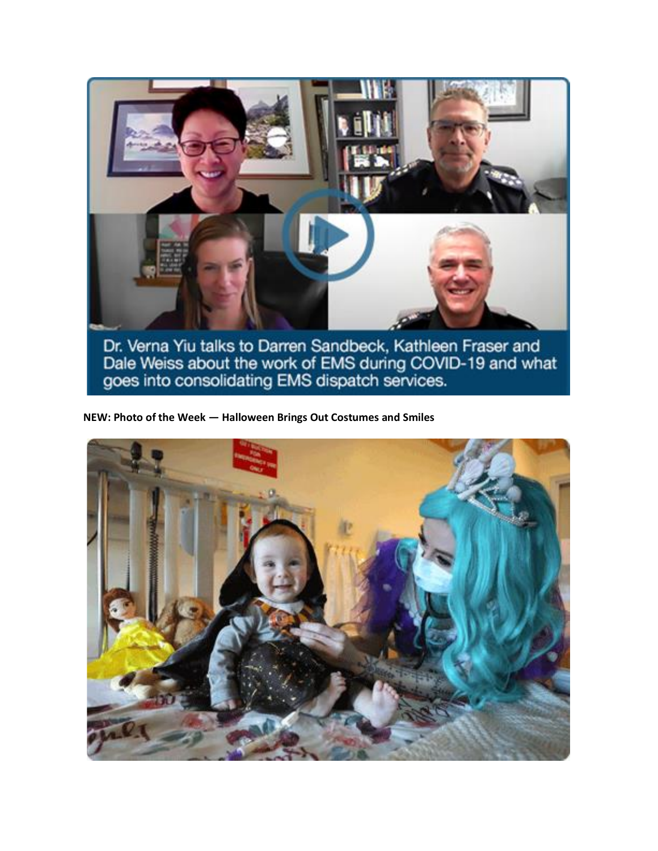

Dr. Verna Yiu talks to Darren Sandbeck, Kathleen Fraser and<br>Dale Weiss about the work of EMS during COVID-19 and what<br>goes into consolidating EMS dispatch services.

**NEW: Photo of the Week — Halloween Brings Out Costumes and Smiles**

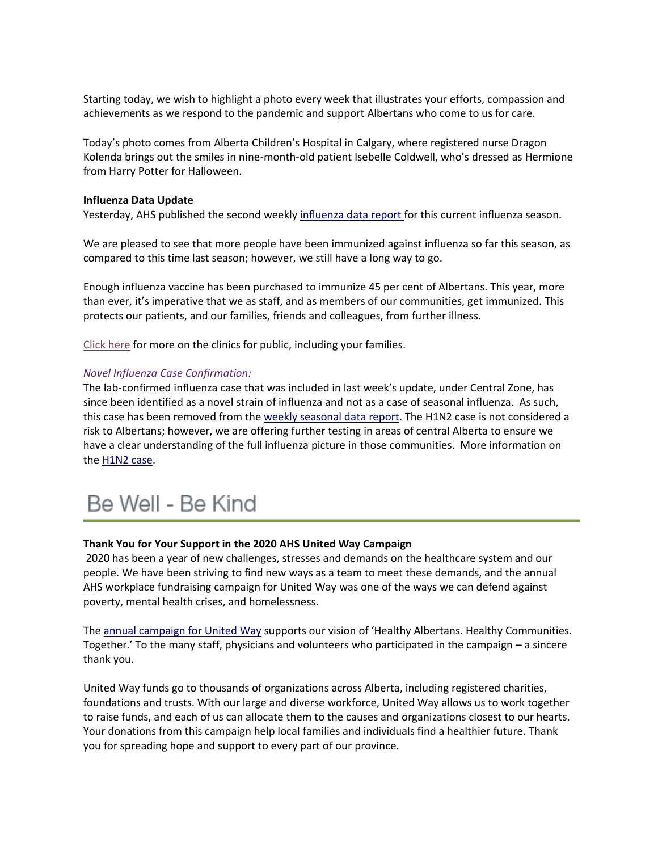Starting today, we wish to highlight a photo every week that illustrates your efforts, compassion and achievements as we respond to the pandemic and support Albertans who come to us for care.

Today's photo comes from Alberta Children's Hospital in Calgary, where registered nurse Dragon Kolenda brings out the smiles in nine-month-old patient Isebelle Coldwell, who's dressed as Hermione from Harry Potter for Halloween.

#### **Influenza Data Update**

Yesterday, AHS published the second weekly [influenza](http://www.ahs.ca/influenza) data report for this current influenza season.

We are pleased to see that more people have been immunized against influenza so far this season, as compared to this time last season; however, we still have a long way to go.

Enough influenza vaccine has been purchased to immunize 45 per cent of Albertans. This year, more than ever, it's imperative that we as staff, and as members of our communities, get immunized. This protects our patients, and our families, friends and colleagues, from further illness.

[Click](https://www.albertahealthservices.ca/influenza/influenza.aspx) here for more on the clinics for public, including your families.

#### *Novel Influenza Case Confirmation:*

The lab-confirmed influenza case that was included in last week's update, under Central Zone, has since been identified as a novel strain of influenza and not as a case of seasonal influenza. As such, this case has been removed from the weekly [seasonal](http://www.ahs.ca/influenza) data report. The H1N2 case is not considered a risk to Albertans; however, we are offering further testing in areas of central Alberta to ensure we have a clear understanding of the full influenza picture in those communities. More information on the [H1N2](https://www.alberta.ca/h1n2-influenza.aspx) case.

## Be Well - Be Kind

#### **Thank You for Your Support in the 2020 AHS United Way Campaign**

2020 has been a year of new challenges, stresses and demands on the healthcare system and our people. We have been striving to find new ways as a team to meet these demands, and the annual AHS workplace fundraising campaign for United Way was one of the ways we can defend against poverty, mental health crises, and homelessness.

The [annual campaign for United Way](https://insite.albertahealthservices.ca/Page5041.aspx) supports our vision of 'Healthy Albertans. Healthy Communities. Together.' To the many staff, physicians and volunteers who participated in the campaign – a sincere thank you.

United Way funds go to thousands of organizations across Alberta, including registered charities, foundations and trusts. With our large and diverse workforce, United Way allows us to work together to raise funds, and each of us can allocate them to the causes and organizations closest to our hearts. Your donations from this campaign help local families and individuals find a healthier future. Thank you for spreading hope and support to every part of our province.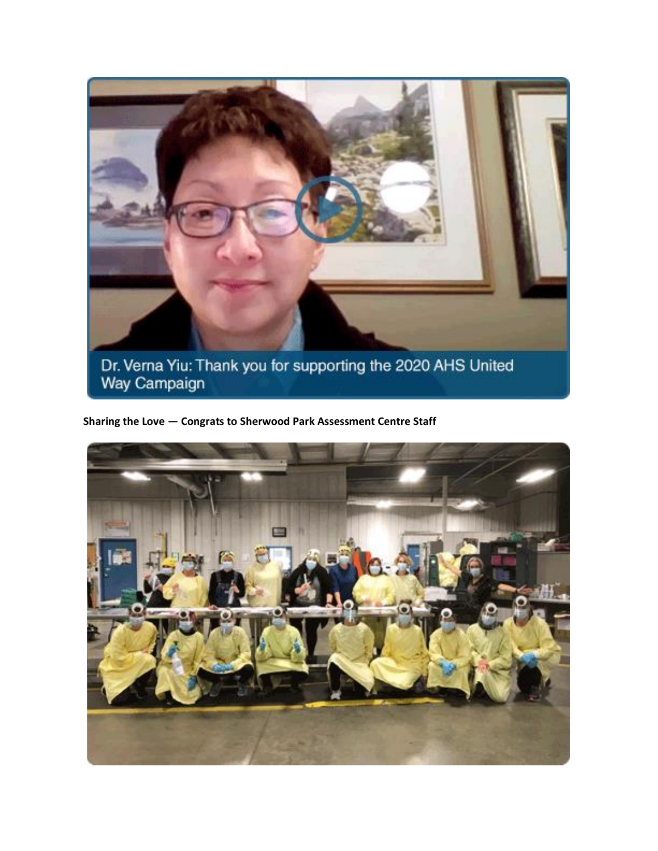

**Sharing the Love — Congrats to Sherwood Park Assessment Centre Staff**

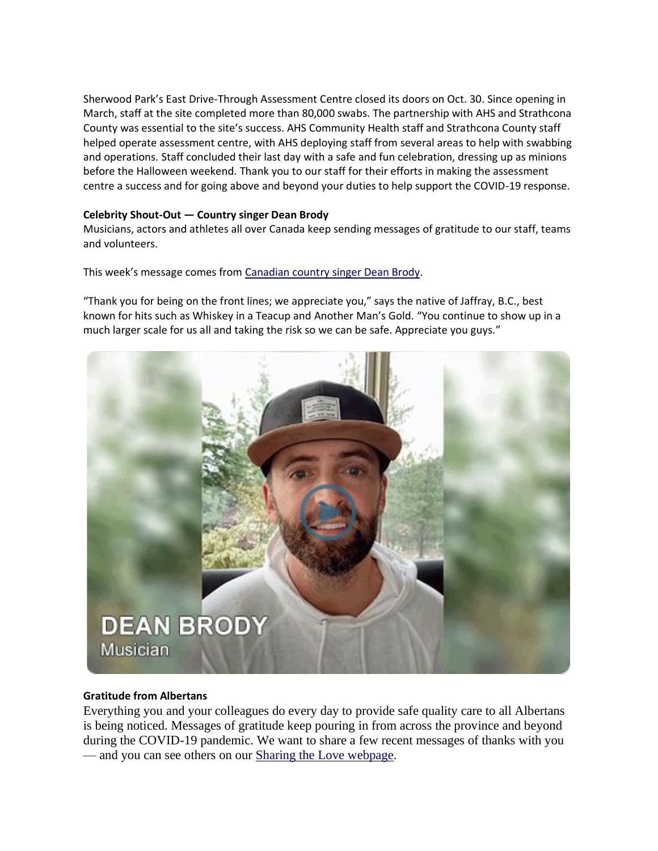Sherwood Park's East Drive-Through Assessment Centre closed its doors on Oct. 30. Since opening in March, staff at the site completed more than 80,000 swabs. The partnership with AHS and Strathcona County was essential to the site's success. AHS Community Health staff and Strathcona County staff helped operate assessment centre, with AHS deploying staff from several areas to help with swabbing and operations. Staff concluded their last day with a safe and fun celebration, dressing up as minions before the Halloween weekend. Thank you to our staff for their efforts in making the assessment centre a success and for going above and beyond your duties to help support the COVID-19 response.

## **Celebrity Shout-Out — Country singer Dean Brody**

Musicians, actors and athletes all over Canada keep sending messages of gratitude to our staff, teams and volunteers.

This week's message comes from [Canadian country singer](https://www.youtube.com/watch?v=WnQ8xmgc2_w&feature=youtu.be) Dean Brody.

"Thank you for being on the front lines; we appreciate you," says the native of Jaffray, B.C., best known for hits such as Whiskey in a Teacup and Another Man's Gold. "You continue to show up in a much larger scale for us all and taking the risk so we can be safe. Appreciate you guys."



#### **Gratitude from Albertans**

Everything you and your colleagues do every day to provide safe quality care to all Albertans is being noticed. Messages of gratitude keep pouring in from across the province and beyond during the COVID-19 pandemic. We want to share a few recent messages of thanks with you — and you can see others on our **Sharing the Love webpage**.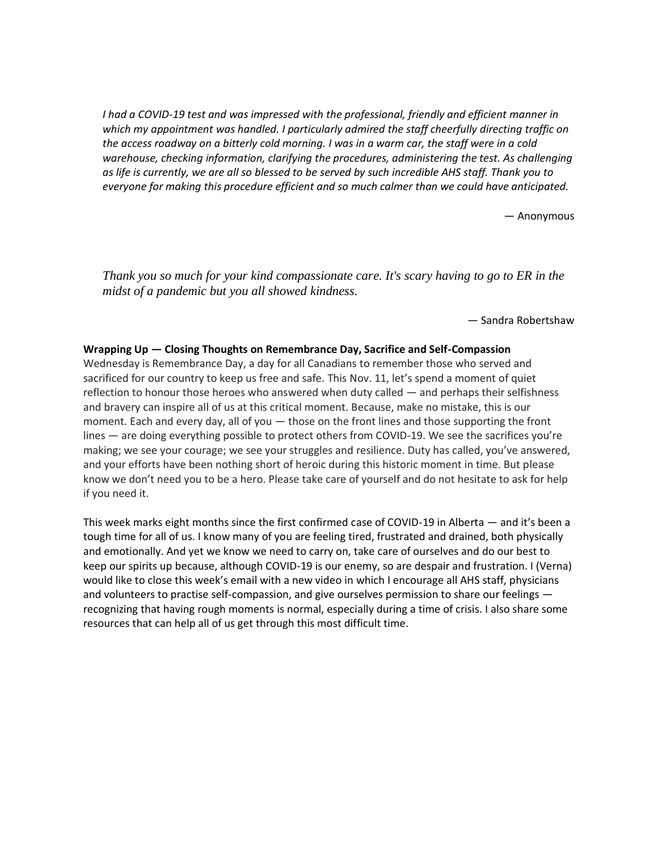*I had a COVID-19 test and was impressed with the professional, friendly and efficient manner in which my appointment was handled. I particularly admired the staff cheerfully directing traffic on* the access roadway on a bitterly cold morning. I was in a warm car, the staff were in a cold *warehouse, checking information, clarifying the procedures, administering the test. As challenging* as life is currently, we are all so blessed to be served by such incredible AHS staff. Thank you to *everyone for making this procedure efficient and so much calmer than we could have anticipated.*

— Anonymous

*Thank you so much for your kind compassionate care. It's scary having to go to ER in the midst of a pandemic but you all showed kindness.*

— Sandra Robertshaw

#### **Wrapping Up — Closing Thoughts on Remembrance Day, Sacrifice and Self-Compassion**

Wednesday is Remembrance Day, a day for all Canadians to remember those who served and sacrificed for our country to keep us free and safe. This Nov. 11, let's spend a moment of quiet reflection to honour those heroes who answered when duty called — and perhaps their selfishness and bravery can inspire all of us at this critical moment. Because, make no mistake, this is our moment. Each and every day, all of you — those on the front lines and those supporting the front lines — are doing everything possible to protect others from COVID-19. We see the sacrifices you're making; we see your courage; we see your struggles and resilience. Duty has called, you've answered, and your efforts have been nothing short of heroic during this historic moment in time. But please know we don't need you to be a hero. Please take care of yourself and do not hesitate to ask for help if you need it.

This week marks eight months since the first confirmed case of COVID-19 in Alberta — and it's been a tough time for all of us. I know many of you are feeling tired, frustrated and drained, both physically and emotionally. And yet we know we need to carry on, take care of ourselves and do our best to keep our spirits up because, although COVID-19 is our enemy, so are despair and frustration. I (Verna) would like to close this week's email with a new video in which I encourage all AHS staff, physicians and volunteers to practise self-compassion, and give ourselves permission to share our feelings recognizing that having rough moments is normal, especially during a time of crisis. I also share some resources that can help all of us get through this most difficult time.